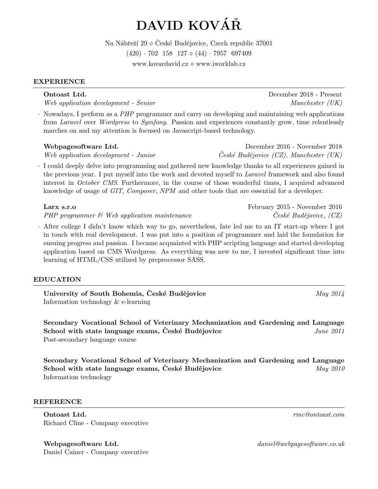# DAVID KOVÁŘ

Na Nábřeží  $29 \diamond \text{České Budějovice}, \text{Czech republic } 37001$  $(420) \cdot 702$  158 127  $\diamond$  (44) · 7957 697409 www.kovardavid.cz  $\diamond$  www.iworklab.cz

# EXPERIENCE

Web application development - Senior Manchester (UK)

· Nowadays, I perform as a PHP programmer and carry on developing and maintaining web applications from Laravel over Wordpress to Symfony. Passion and experiences constantly grow, time relentlessly marches on and my attention is focused on Javascript-based technology.

# Webpagesoftware Ltd.  $Deeember 2016$  - November 2018

Web application development - Junior  $\check{C}$ eské Budějovice (CZ), Manchester (UK)

· I could deeply delve into programming and gathered new knowledge thanks to all experiences gained in the previous year. I put myself into the work and devoted myself to *Laravel* framework and also found interest in October CMS. Furthermore, in the course of those wonderful times, I acquired advanced knowledge of usage of GIT, Composer, NPM and other tools that are essential for a developer.

 $PHP$  programmer  $\mathscr$  Web application maintenance  $\qquad \qquad$   $\qquad \qquad$   $\qquad$   $\qquad$   $\qquad$   $\qquad$   $\qquad$   $\qquad$   $\qquad$   $\qquad$   $\qquad$   $\qquad$   $\qquad$   $\qquad$   $\qquad$   $\qquad$   $\qquad$   $\qquad$   $\qquad$   $\qquad$   $\qquad$   $\qquad$   $\qquad$   $\qquad$   $\qquad$   $\qquad$   $\qquad$   $\q$ 

· After college I didn't know which way to go, nevertheless, fate led me to an IT start-up where I got in touch with real development. I was put into a position of programmer and laid the foundation for ensuing progress and passion. I became acquainted with PHP scripting language and started developing application based on CMS Wordpress. As everything was new to me, I invested significant time into learning of HTML/CSS utilized by preprocessor SASS.

# EDUCATION

University of South Bohemia, České Budějovice  $May\ 2014$ Information technology & e-learning

Secondary Vocational School of Veterinary Mechanization and Gardening and Language School with state language exams, Ceské Budějovice *June 2011* Post-secondary language course

Secondary Vocational School of Veterinary Mechanization and Gardening and Language School with state language exams, Ceské Budějovice *May 2010* Information technology

#### REFERENCE

Ontoast Ltd. The contract of the contract of the contract of the contract of the contract of the contract of the contract of the contract of the contract of the contract of the contract of the contract of the contract of t Richard Cline - Company executive

Webpagesoftware Ltd.  $daniel@webpagesoftware.co.uk$ Daniel Cainer - Company executive

Larx s.r.o February 2015 - November 2016

Ontoast Ltd. December 2018 - Present